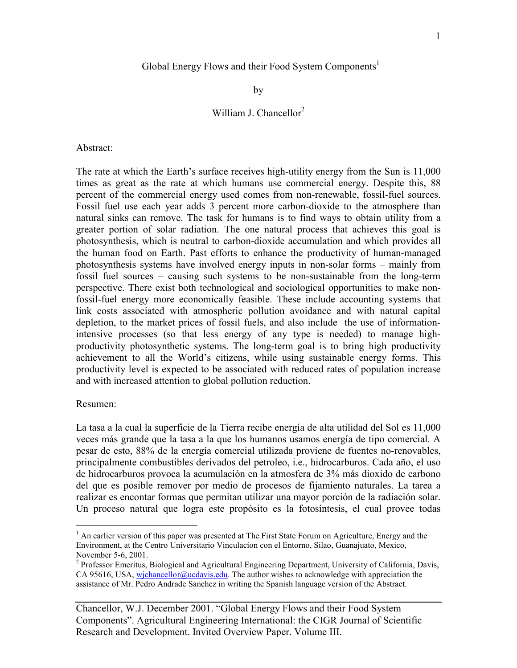### Global Energy Flows and their Food System Components<sup>1</sup>

by

# William J. Chancellor<sup>2</sup>

Abstract:

The rate at which the Earth's surface receives high-utility energy from the Sun is 11,000 times as great as the rate at which humans use commercial energy. Despite this, 88 percent of the commercial energy used comes from non-renewable, fossil-fuel sources. Fossil fuel use each year adds 3 percent more carbon-dioxide to the atmosphere than natural sinks can remove. The task for humans is to find ways to obtain utility from a greater portion of solar radiation. The one natural process that achieves this goal is photosynthesis, which is neutral to carbon-dioxide accumulation and which provides all the human food on Earth. Past efforts to enhance the productivity of human-managed photosynthesis systems have involved energy inputs in non-solar forms – mainly from fossil fuel sources – causing such systems to be non-sustainable from the long-term perspective. There exist both technological and sociological opportunities to make nonfossil-fuel energy more economically feasible. These include accounting systems that link costs associated with atmospheric pollution avoidance and with natural capital depletion, to the market prices of fossil fuels, and also include the use of informationintensive processes (so that less energy of any type is needed) to manage highproductivity photosynthetic systems. The long-term goal is to bring high productivity achievement to all the World's citizens, while using sustainable energy forms. This productivity level is expected to be associated with reduced rates of population increase and with increased attention to global pollution reduction.

#### Resumen:

 $\overline{a}$ 

La tasa a la cual la superficie de la Tierra recibe energía de alta utilidad del Sol es 11,000 veces más grande que la tasa a la que los humanos usamos energía de tipo comercial. A pesar de esto, 88% de la energía comercial utilizada proviene de fuentes no-renovables, principalmente combustibles derivados del petroleo, i.e., hidrocarburos. Cada año, el uso de hidrocarburos provoca la acumulación en la atmosfera de 3% más dioxido de carbono del que es posible remover por medio de procesos de fijamiento naturales. La tarea a realizar es encontar formas que permitan utilizar una mayor porción de la radiación solar. Un proceso natural que logra este propósito es la fotosíntesis, el cual provee todas

<sup>&</sup>lt;sup>1</sup> An earlier version of this paper was presented at The First State Forum on Agriculture, Energy and the Environment, at the Centro Universitario Vinculacíon con el Entorno, Silao, Guanajuato, Mexico, November 5-6, 2001.

<sup>&</sup>lt;sup>2</sup> Professor Emeritus, Biological and Agricultural Engineering Department, University of California, Davis, CA 95616, USA, wichancellor@ucdavis.edu. The author wishes to acknowledge with appreciation the assistance of Mr. Pedro Andrade Sanchez in writing the Spanish language version of the Abstract.

Chancellor, W.J. December 2001. "Global Energy Flows and their Food System Components". Agricultural Engineering International: the CIGR Journal of Scientific Research and Development. Invited Overview Paper. Volume III.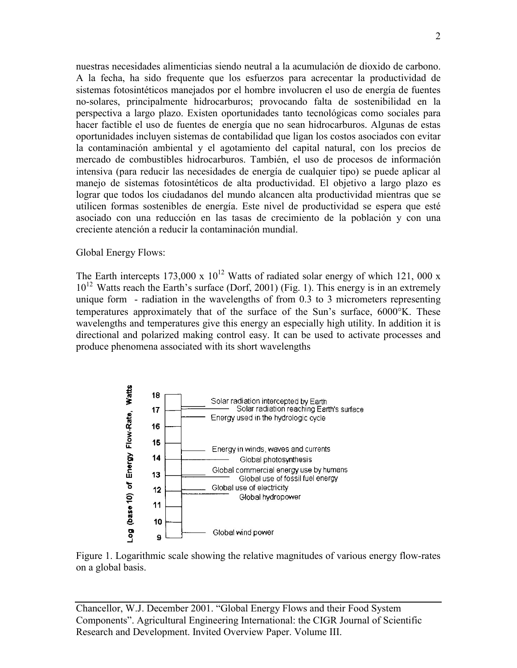nuestras necesidades alimenticias siendo neutral a la acumulación de dioxido de carbono. A la fecha, ha sido frequente que los esfuerzos para acrecentar la productividad de sistemas fotosintéticos manejados por el hombre involucren el uso de energía de fuentes no-solares, principalmente hidrocarburos; provocando falta de sostenibilidad en la perspectiva a largo plazo. Existen oportunidades tanto tecnológicas como sociales para hacer factible el uso de fuentes de energía que no sean hidrocarburos. Algunas de estas oportunidades incluyen sistemas de contabilidad que ligan los costos asociados con evitar la contaminación ambiental y el agotamiento del capital natural, con los precios de mercado de combustibles hidrocarburos. También, el uso de procesos de información intensiva (para reducir las necesidades de energía de cualquier tipo) se puede aplicar al manejo de sistemas fotosintéticos de alta productividad. El objetivo a largo plazo es lograr que todos los ciudadanos del mundo alcancen alta productividad mientras que se utilicen formas sostenibles de energía. Este nivel de productividad se espera que esté asociado con una reducción en las tasas de crecimiento de la población y con una creciente atención a reducir la contaminación mundial.

### Global Energy Flows:

The Earth intercepts  $173,000 \times 10^{12}$  Watts of radiated solar energy of which 121, 000 x  $10^{12}$  Watts reach the Earth's surface (Dorf, 2001) (Fig. 1). This energy is in an extremely unique form - radiation in the wavelengths of from 0.3 to 3 micrometers representing temperatures approximately that of the surface of the Sun's surface, 6000°K. These wavelengths and temperatures give this energy an especially high utility. In addition it is directional and polarized making control easy. It can be used to activate processes and produce phenomena associated with its short wavelengths



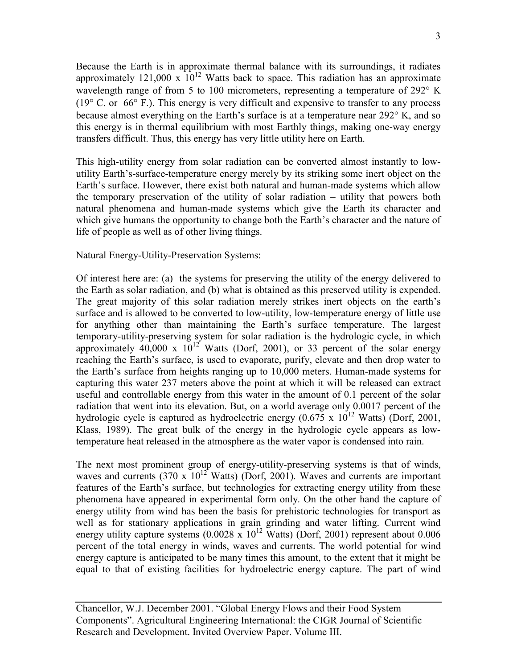Because the Earth is in approximate thermal balance with its surroundings, it radiates approximately 121,000 x  $10^{12}$  Watts back to space. This radiation has an approximate wavelength range of from 5 to 100 micrometers, representing a temperature of 292° K (19° C. or 66° F.). This energy is very difficult and expensive to transfer to any process because almost everything on the Earth's surface is at a temperature near 292° K, and so this energy is in thermal equilibrium with most Earthly things, making one-way energy transfers difficult. Thus, this energy has very little utility here on Earth.

This high-utility energy from solar radiation can be converted almost instantly to lowutility Earth's-surface-temperature energy merely by its striking some inert object on the Earth's surface. However, there exist both natural and human-made systems which allow the temporary preservation of the utility of solar radiation – utility that powers both natural phenomena and human-made systems which give the Earth its character and which give humans the opportunity to change both the Earth's character and the nature of life of people as well as of other living things.

Natural Energy-Utility-Preservation Systems:

Of interest here are: (a) the systems for preserving the utility of the energy delivered to the Earth as solar radiation, and (b) what is obtained as this preserved utility is expended. The great majority of this solar radiation merely strikes inert objects on the earth's surface and is allowed to be converted to low-utility, low-temperature energy of little use for anything other than maintaining the Earth's surface temperature. The largest temporary-utility-preserving system for solar radiation is the hydrologic cycle, in which approximately  $40,000 \times 10^{12}$  Watts (Dorf, 2001), or 33 percent of the solar energy reaching the Earth's surface, is used to evaporate, purify, elevate and then drop water to the Earth's surface from heights ranging up to 10,000 meters. Human-made systems for capturing this water 237 meters above the point at which it will be released can extract useful and controllable energy from this water in the amount of 0.1 percent of the solar radiation that went into its elevation. But, on a world average only 0.0017 percent of the hydrologic cycle is captured as hydroelectric energy  $(0.675 \times 10^{12} \text{ Watts})$  (Dorf, 2001, Klass, 1989). The great bulk of the energy in the hydrologic cycle appears as lowtemperature heat released in the atmosphere as the water vapor is condensed into rain.

The next most prominent group of energy-utility-preserving systems is that of winds, waves and currents (370 x  $10^{12}$  Watts) (Dorf, 2001). Waves and currents are important features of the Earth's surface, but technologies for extracting energy utility from these phenomena have appeared in experimental form only. On the other hand the capture of energy utility from wind has been the basis for prehistoric technologies for transport as well as for stationary applications in grain grinding and water lifting. Current wind energy utility capture systems  $(0.0028 \times 10^{12} \text{ Watts})$  (Dorf, 2001) represent about 0.006 percent of the total energy in winds, waves and currents. The world potential for wind energy capture is anticipated to be many times this amount, to the extent that it might be equal to that of existing facilities for hydroelectric energy capture. The part of wind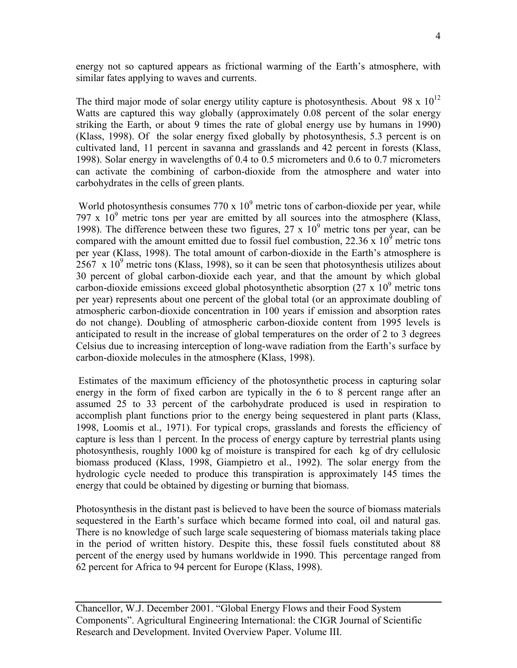energy not so captured appears as frictional warming of the Earth's atmosphere, with similar fates applying to waves and currents.

The third major mode of solar energy utility capture is photosynthesis. About 98 x  $10^{12}$ Watts are captured this way globally (approximately 0.08 percent of the solar energy striking the Earth, or about 9 times the rate of global energy use by humans in 1990) (Klass, 1998). Of the solar energy fixed globally by photosynthesis, 5.3 percent is on cultivated land, 11 percent in savanna and grasslands and 42 percent in forests (Klass, 1998). Solar energy in wavelengths of 0.4 to 0.5 micrometers and 0.6 to 0.7 micrometers can activate the combining of carbon-dioxide from the atmosphere and water into carbohydrates in the cells of green plants.

World photosynthesis consumes  $770 \times 10^9$  metric tons of carbon-dioxide per year, while 797 x  $10^9$  metric tons per year are emitted by all sources into the atmosphere (Klass, 1998). The difference between these two figures,  $27 \times 10^9$  metric tons per year, can be compared with the amount emitted due to fossil fuel combustion, 22.36 x  $10^9$  metric tons per year (Klass, 1998). The total amount of carbon-dioxide in the Earth's atmosphere is  $2567 \times 10^9$  metric tons (Klass, 1998), so it can be seen that photosynthesis utilizes about 30 percent of global carbon-dioxide each year, and that the amount by which global carbon-dioxide emissions exceed global photosynthetic absorption  $(27 \times 10^9)$  metric tons per year) represents about one percent of the global total (or an approximate doubling of atmospheric carbon-dioxide concentration in 100 years if emission and absorption rates do not change). Doubling of atmospheric carbon-dioxide content from 1995 levels is anticipated to result in the increase of global temperatures on the order of 2 to 3 degrees Celsius due to increasing interception of long-wave radiation from the Earth's surface by carbon-dioxide molecules in the atmosphere (Klass, 1998).

 Estimates of the maximum efficiency of the photosynthetic process in capturing solar energy in the form of fixed carbon are typically in the 6 to 8 percent range after an assumed 25 to 33 percent of the carbohydrate produced is used in respiration to accomplish plant functions prior to the energy being sequestered in plant parts (Klass, 1998, Loomis et al., 1971). For typical crops, grasslands and forests the efficiency of capture is less than 1 percent. In the process of energy capture by terrestrial plants using photosynthesis, roughly 1000 kg of moisture is transpired for each kg of dry cellulosic biomass produced (Klass, 1998, Giampietro et al., 1992). The solar energy from the hydrologic cycle needed to produce this transpiration is approximately 145 times the energy that could be obtained by digesting or burning that biomass.

Photosynthesis in the distant past is believed to have been the source of biomass materials sequestered in the Earth's surface which became formed into coal, oil and natural gas. There is no knowledge of such large scale sequestering of biomass materials taking place in the period of written history. Despite this, these fossil fuels constituted about 88 percent of the energy used by humans worldwide in 1990. This percentage ranged from 62 percent for Africa to 94 percent for Europe (Klass, 1998).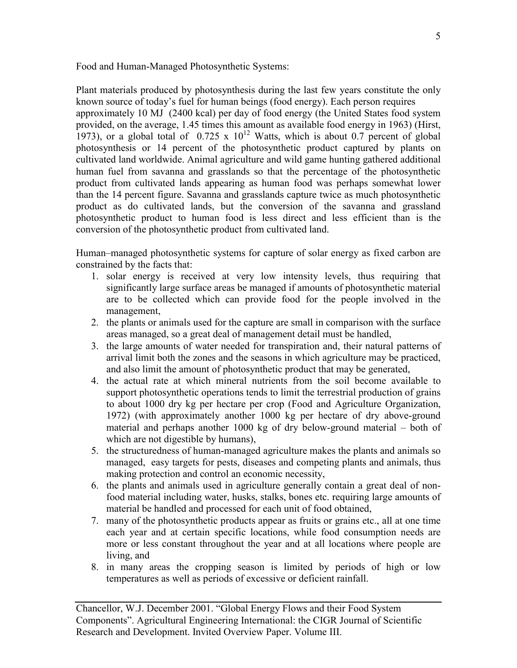Food and Human-Managed Photosynthetic Systems:

Plant materials produced by photosynthesis during the last few years constitute the only known source of today's fuel for human beings (food energy). Each person requires approximately 10 MJ (2400 kcal) per day of food energy (the United States food system provided, on the average, 1.45 times this amount as available food energy in 1963) (Hirst, 1973), or a global total of  $0.725 \times 10^{12}$  Watts, which is about 0.7 percent of global photosynthesis or 14 percent of the photosynthetic product captured by plants on cultivated land worldwide. Animal agriculture and wild game hunting gathered additional human fuel from savanna and grasslands so that the percentage of the photosynthetic product from cultivated lands appearing as human food was perhaps somewhat lower than the 14 percent figure. Savanna and grasslands capture twice as much photosynthetic product as do cultivated lands, but the conversion of the savanna and grassland photosynthetic product to human food is less direct and less efficient than is the conversion of the photosynthetic product from cultivated land.

Human–managed photosynthetic systems for capture of solar energy as fixed carbon are constrained by the facts that:

- 1. solar energy is received at very low intensity levels, thus requiring that significantly large surface areas be managed if amounts of photosynthetic material are to be collected which can provide food for the people involved in the management,
- 2. the plants or animals used for the capture are small in comparison with the surface areas managed, so a great deal of management detail must be handled,
- 3. the large amounts of water needed for transpiration and, their natural patterns of arrival limit both the zones and the seasons in which agriculture may be practiced, and also limit the amount of photosynthetic product that may be generated,
- 4. the actual rate at which mineral nutrients from the soil become available to support photosynthetic operations tends to limit the terrestrial production of grains to about 1000 dry kg per hectare per crop (Food and Agriculture Organization, 1972) (with approximately another 1000 kg per hectare of dry above-ground material and perhaps another 1000 kg of dry below-ground material – both of which are not digestible by humans),
- 5. the structuredness of human-managed agriculture makes the plants and animals so managed, easy targets for pests, diseases and competing plants and animals, thus making protection and control an economic necessity,
- 6. the plants and animals used in agriculture generally contain a great deal of nonfood material including water, husks, stalks, bones etc. requiring large amounts of material be handled and processed for each unit of food obtained,
- 7. many of the photosynthetic products appear as fruits or grains etc., all at one time each year and at certain specific locations, while food consumption needs are more or less constant throughout the year and at all locations where people are living, and
- 8. in many areas the cropping season is limited by periods of high or low temperatures as well as periods of excessive or deficient rainfall.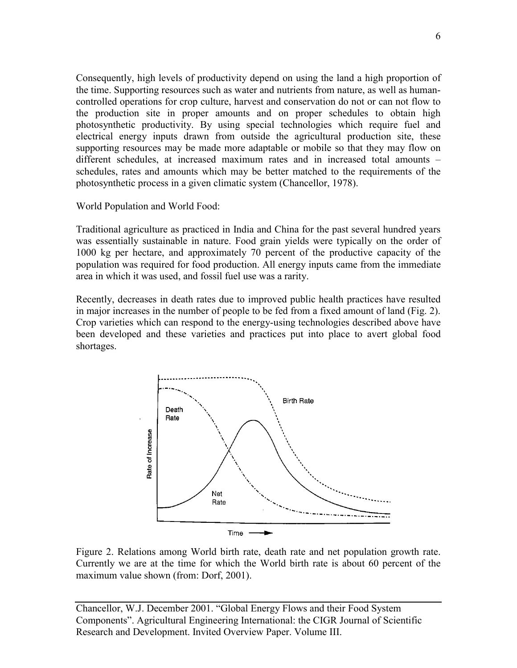Consequently, high levels of productivity depend on using the land a high proportion of the time. Supporting resources such as water and nutrients from nature, as well as humancontrolled operations for crop culture, harvest and conservation do not or can not flow to the production site in proper amounts and on proper schedules to obtain high photosynthetic productivity. By using special technologies which require fuel and electrical energy inputs drawn from outside the agricultural production site, these supporting resources may be made more adaptable or mobile so that they may flow on different schedules, at increased maximum rates and in increased total amounts – schedules, rates and amounts which may be better matched to the requirements of the photosynthetic process in a given climatic system (Chancellor, 1978).

World Population and World Food:

Traditional agriculture as practiced in India and China for the past several hundred years was essentially sustainable in nature. Food grain yields were typically on the order of 1000 kg per hectare, and approximately 70 percent of the productive capacity of the population was required for food production. All energy inputs came from the immediate area in which it was used, and fossil fuel use was a rarity.

Recently, decreases in death rates due to improved public health practices have resulted in major increases in the number of people to be fed from a fixed amount of land (Fig. 2). Crop varieties which can respond to the energy-using technologies described above have been developed and these varieties and practices put into place to avert global food shortages.



Figure 2. Relations among World birth rate, death rate and net population growth rate. Currently we are at the time for which the World birth rate is about 60 percent of the maximum value shown (from: Dorf, 2001).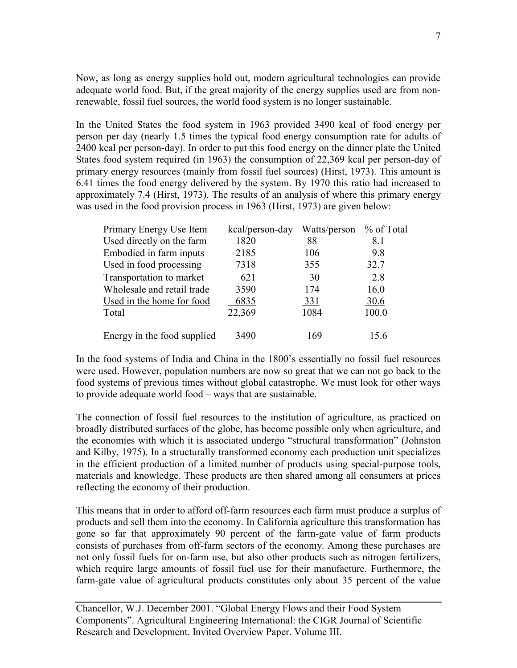Now, as long as energy supplies hold out, modern agricultural technologies can provide adequate world food. But, if the great majority of the energy supplies used are from nonrenewable, fossil fuel sources, the world food system is no longer sustainable.

In the United States the food system in 1963 provided 3490 kcal of food energy per person per day (nearly 1.5 times the typical food energy consumption rate for adults of 2400 kcal per person-day). In order to put this food energy on the dinner plate the United States food system required (in 1963) the consumption of 22,369 kcal per person-day of primary energy resources (mainly from fossil fuel sources) (Hirst, 1973). This amount is 6.41 times the food energy delivered by the system. By 1970 this ratio had increased to approximately 7.4 (Hirst, 1973). The results of an analysis of where this primary energy was used in the food provision process in 1963 (Hirst, 1973) are given below:

| <b>Primary Energy Use Item</b> | kcal/person-day | Watts/person | % of Total |
|--------------------------------|-----------------|--------------|------------|
| Used directly on the farm      | 1820            | 88           | 8.1        |
| Embodied in farm inputs        | 2185            | 106          | 9.8        |
| Used in food processing        | 7318            | 355          | 32.7       |
| Transportation to market       | 621             | 30           | 2.8        |
| Wholesale and retail trade     | 3590            | 174          | 16.0       |
| Used in the home for food      | 6835            | <u>331</u>   | 30.6       |
| Total                          | 22,369          | 1084         | 100.0      |
| Energy in the food supplied    | 3490            | 169          | 15.6       |

In the food systems of India and China in the 1800's essentially no fossil fuel resources were used. However, population numbers are now so great that we can not go back to the food systems of previous times without global catastrophe. We must look for other ways to provide adequate world food – ways that are sustainable.

The connection of fossil fuel resources to the institution of agriculture, as practiced on broadly distributed surfaces of the globe, has become possible only when agriculture, and the economies with which it is associated undergo "structural transformation" (Johnston and Kilby, 1975). In a structurally transformed economy each production unit specializes in the efficient production of a limited number of products using special-purpose tools, materials and knowledge. These products are then shared among all consumers at prices reflecting the economy of their production.

This means that in order to afford off-farm resources each farm must produce a surplus of products and sell them into the economy. In California agriculture this transformation has gone so far that approximately 90 percent of the farm-gate value of farm products consists of purchases from off-farm sectors of the economy. Among these purchases are not only fossil fuels for on-farm use, but also other products such as nitrogen fertilizers, which require large amounts of fossil fuel use for their manufacture. Furthermore, the farm-gate value of agricultural products constitutes only about 35 percent of the value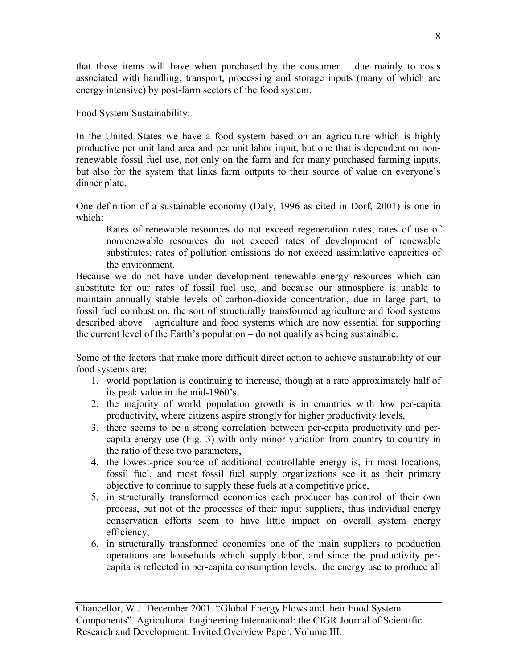that those items will have when purchased by the consumer – due mainly to costs associated with handling, transport, processing and storage inputs (many of which are energy intensive) by post-farm sectors of the food system.

Food System Sustainability:

In the United States we have a food system based on an agriculture which is highly productive per unit land area and per unit labor input, but one that is dependent on nonrenewable fossil fuel use, not only on the farm and for many purchased farming inputs, but also for the system that links farm outputs to their source of value on everyone's dinner plate.

One definition of a sustainable economy (Daly, 1996 as cited in Dorf, 2001) is one in which:

Rates of renewable resources do not exceed regeneration rates; rates of use of nonrenewable resources do not exceed rates of development of renewable substitutes; rates of pollution emissions do not exceed assimilative capacities of the environment.

Because we do not have under development renewable energy resources which can substitute for our rates of fossil fuel use, and because our atmosphere is unable to maintain annually stable levels of carbon-dioxide concentration, due in large part, to fossil fuel combustion, the sort of structurally transformed agriculture and food systems described above – agriculture and food systems which are now essential for supporting the current level of the Earth's population – do not qualify as being sustainable.

Some of the factors that make more difficult direct action to achieve sustainability of our food systems are:

- 1. world population is continuing to increase, though at a rate approximately half of its peak value in the mid-1960's,
- 2. the majority of world population growth is in countries with low per-capita productivity, where citizens aspire strongly for higher productivity levels,
- 3. there seems to be a strong correlation between per-capita productivity and percapita energy use (Fig. 3) with only minor variation from country to country in the ratio of these two parameters,
- 4. the lowest-price source of additional controllable energy is, in most locations, fossil fuel, and most fossil fuel supply organizations see it as their primary objective to continue to supply these fuels at a competitive price,
- 5. in structurally transformed economies each producer has control of their own process, but not of the processes of their input suppliers, thus individual energy conservation efforts seem to have little impact on overall system energy efficiency,
- 6. in structurally transformed economies one of the main suppliers to production operations are households which supply labor, and since the productivity percapita is reflected in per-capita consumption levels, the energy use to produce all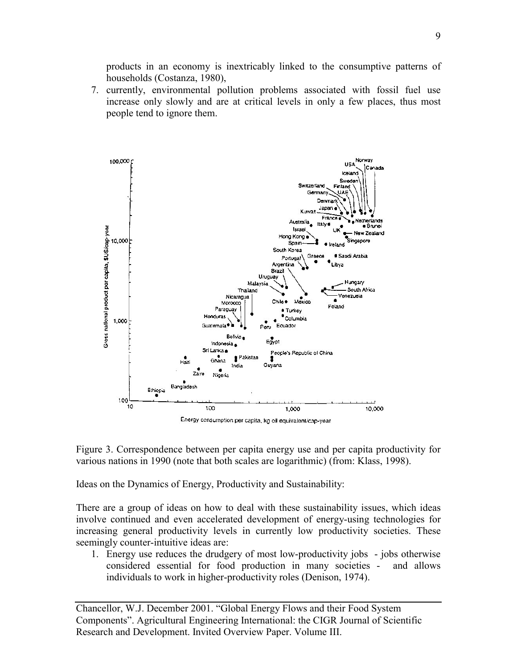products in an economy is inextricably linked to the consumptive patterns of households (Costanza, 1980),

7. currently, environmental pollution problems associated with fossil fuel use increase only slowly and are at critical levels in only a few places, thus most people tend to ignore them.



Figure 3. Correspondence between per capita energy use and per capita productivity for various nations in 1990 (note that both scales are logarithmic) (from: Klass, 1998).

Ideas on the Dynamics of Energy, Productivity and Sustainability:

There are a group of ideas on how to deal with these sustainability issues, which ideas involve continued and even accelerated development of energy-using technologies for increasing general productivity levels in currently low productivity societies. These seemingly counter-intuitive ideas are:

1. Energy use reduces the drudgery of most low-productivity jobs - jobs otherwise considered essential for food production in many societies - and allows individuals to work in higher-productivity roles (Denison, 1974).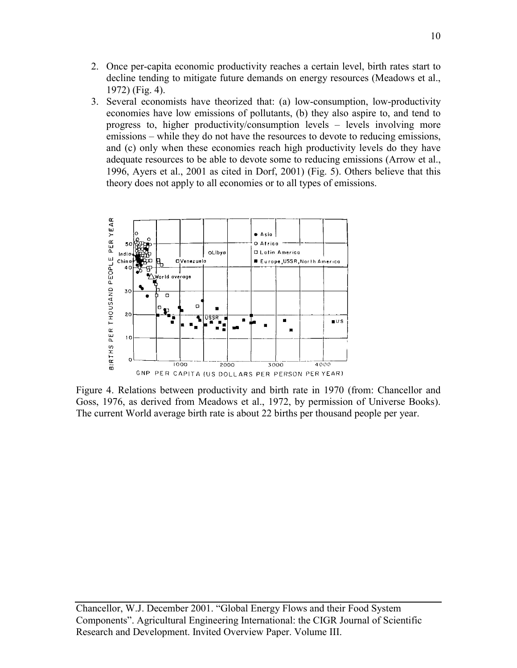- 2. Once per-capita economic productivity reaches a certain level, birth rates start to decline tending to mitigate future demands on energy resources (Meadows et al., 1972) (Fig. 4).
- 3. Several economists have theorized that: (a) low-consumption, low-productivity economies have low emissions of pollutants, (b) they also aspire to, and tend to progress to, higher productivity/consumption levels – levels involving more emissions – while they do not have the resources to devote to reducing emissions, and (c) only when these economies reach high productivity levels do they have adequate resources to be able to devote some to reducing emissions (Arrow et al., 1996, Ayers et al., 2001 as cited in Dorf, 2001) (Fig. 5). Others believe that this theory does not apply to all economies or to all types of emissions.



Figure 4. Relations between productivity and birth rate in 1970 (from: Chancellor and Goss, 1976, as derived from Meadows et al., 1972, by permission of Universe Books). The current World average birth rate is about 22 births per thousand people per year.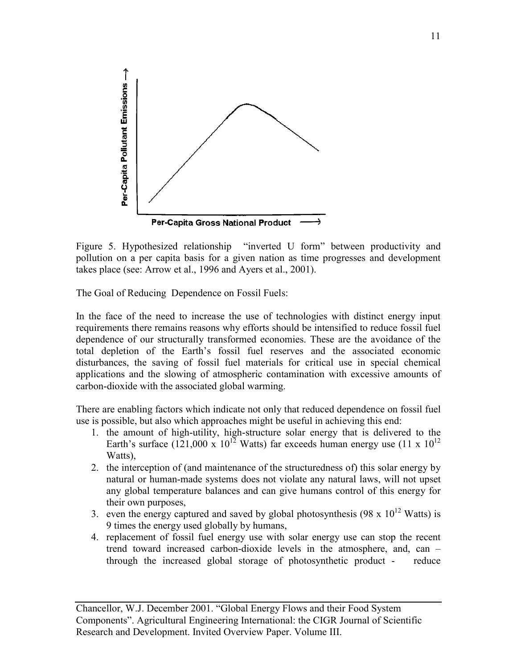

Figure 5. Hypothesized relationship "inverted U form" between productivity and pollution on a per capita basis for a given nation as time progresses and development takes place (see: Arrow et al., 1996 and Ayers et al., 2001).

The Goal of Reducing Dependence on Fossil Fuels:

In the face of the need to increase the use of technologies with distinct energy input requirements there remains reasons why efforts should be intensified to reduce fossil fuel dependence of our structurally transformed economies. These are the avoidance of the total depletion of the Earth's fossil fuel reserves and the associated economic disturbances, the saving of fossil fuel materials for critical use in special chemical applications and the slowing of atmospheric contamination with excessive amounts of carbon-dioxide with the associated global warming.

There are enabling factors which indicate not only that reduced dependence on fossil fuel use is possible, but also which approaches might be useful in achieving this end:

- 1. the amount of high-utility, high-structure solar energy that is delivered to the Earth's surface  $(121,000 \times 10^{12} \text{ Watts})$  far exceeds human energy use  $(11 \times 10^{12} \text{$ Watts),
- 2. the interception of (and maintenance of the structuredness of) this solar energy by natural or human-made systems does not violate any natural laws, will not upset any global temperature balances and can give humans control of this energy for their own purposes,
- 3. even the energy captured and saved by global photosynthesis (98 x  $10^{12}$  Watts) is 9 times the energy used globally by humans,
- 4. replacement of fossil fuel energy use with solar energy use can stop the recent trend toward increased carbon-dioxide levels in the atmosphere, and, can – through the increased global storage of photosynthetic product - reduce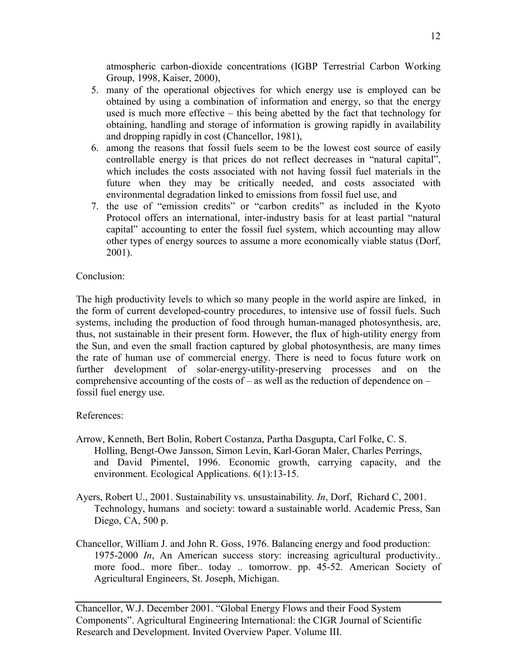atmospheric carbon-dioxide concentrations (IGBP Terrestrial Carbon Working Group, 1998, Kaiser, 2000),

- 5. many of the operational objectives for which energy use is employed can be obtained by using a combination of information and energy, so that the energy used is much more effective – this being abetted by the fact that technology for obtaining, handling and storage of information is growing rapidly in availability and dropping rapidly in cost (Chancellor, 1981),
- 6. among the reasons that fossil fuels seem to be the lowest cost source of easily controllable energy is that prices do not reflect decreases in "natural capital", which includes the costs associated with not having fossil fuel materials in the future when they may be critically needed, and costs associated with environmental degradation linked to emissions from fossil fuel use, and
- 7. the use of "emission credits" or "carbon credits" as included in the Kyoto Protocol offers an international, inter-industry basis for at least partial "natural capital" accounting to enter the fossil fuel system, which accounting may allow other types of energy sources to assume a more economically viable status (Dorf, 2001).

## Conclusion:

The high productivity levels to which so many people in the world aspire are linked, in the form of current developed-country procedures, to intensive use of fossil fuels. Such systems, including the production of food through human-managed photosynthesis, are, thus, not sustainable in their present form. However, the flux of high-utility energy from the Sun, and even the small fraction captured by global photosynthesis, are many times the rate of human use of commercial energy. There is need to focus future work on further development of solar-energy-utility-preserving processes and on the comprehensive accounting of the costs of – as well as the reduction of dependence on – fossil fuel energy use.

### References:

- Arrow, Kenneth, Bert Bolin, Robert Costanza, Partha Dasgupta, Carl Folke, C. S. Holling, Bengt-Owe Jansson, Simon Levin, Karl-Goran Maler, Charles Perrings, and David Pimentel, 1996. Economic growth, carrying capacity, and the environment. Ecological Applications. 6(1):13-15.
- Ayers, Robert U., 2001. Sustainability vs. unsustainability*. In*, Dorf, Richard C, 2001. Technology, humans and society: toward a sustainable world. Academic Press, San Diego, CA, 500 p.
- Chancellor, William J. and John R. Goss, 1976. Balancing energy and food production: 1975-2000 *In*, An American success story: increasing agricultural productivity.. more food.. more fiber.. today .. tomorrow. pp. 45-52. American Society of Agricultural Engineers, St. Joseph, Michigan.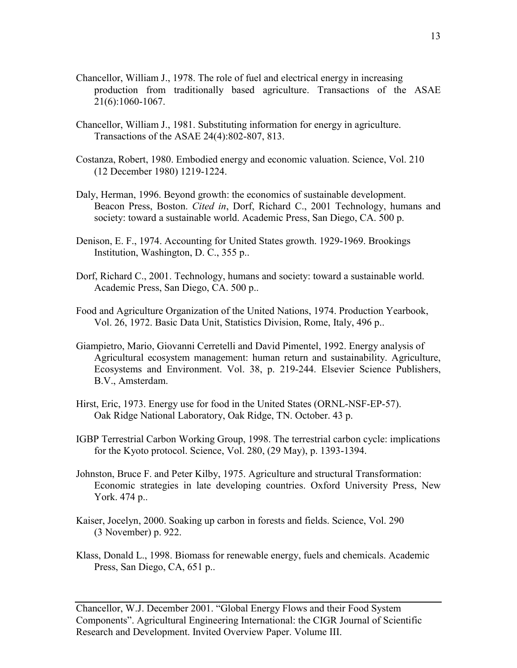- Chancellor, William J., 1978. The role of fuel and electrical energy in increasing production from traditionally based agriculture. Transactions of the ASAE 21(6):1060-1067.
- Chancellor, William J., 1981. Substituting information for energy in agriculture. Transactions of the ASAE 24(4):802-807, 813.
- Costanza, Robert, 1980. Embodied energy and economic valuation. Science, Vol. 210 (12 December 1980) 1219-1224.
- Daly, Herman, 1996. Beyond growth: the economics of sustainable development. Beacon Press, Boston. *Cited in*, Dorf, Richard C., 2001 Technology, humans and society: toward a sustainable world. Academic Press, San Diego, CA. 500 p.
- Denison, E. F., 1974. Accounting for United States growth. 1929-1969. Brookings Institution, Washington, D. C., 355 p..
- Dorf, Richard C., 2001. Technology, humans and society: toward a sustainable world. Academic Press, San Diego, CA. 500 p..
- Food and Agriculture Organization of the United Nations, 1974. Production Yearbook, Vol. 26, 1972. Basic Data Unit, Statistics Division, Rome, Italy, 496 p..
- Giampietro, Mario, Giovanni Cerretelli and David Pimentel, 1992. Energy analysis of Agricultural ecosystem management: human return and sustainability. Agriculture, Ecosystems and Environment. Vol. 38, p. 219-244. Elsevier Science Publishers, B.V., Amsterdam.
- Hirst, Eric, 1973. Energy use for food in the United States (ORNL-NSF-EP-57). Oak Ridge National Laboratory, Oak Ridge, TN. October. 43 p.
- IGBP Terrestrial Carbon Working Group, 1998. The terrestrial carbon cycle: implications for the Kyoto protocol. Science, Vol. 280, (29 May), p. 1393-1394.
- Johnston, Bruce F. and Peter Kilby, 1975. Agriculture and structural Transformation: Economic strategies in late developing countries. Oxford University Press, New York. 474 p..
- Kaiser, Jocelyn, 2000. Soaking up carbon in forests and fields. Science, Vol. 290 (3 November) p. 922.
- Klass, Donald L., 1998. Biomass for renewable energy, fuels and chemicals. Academic Press, San Diego, CA, 651 p..